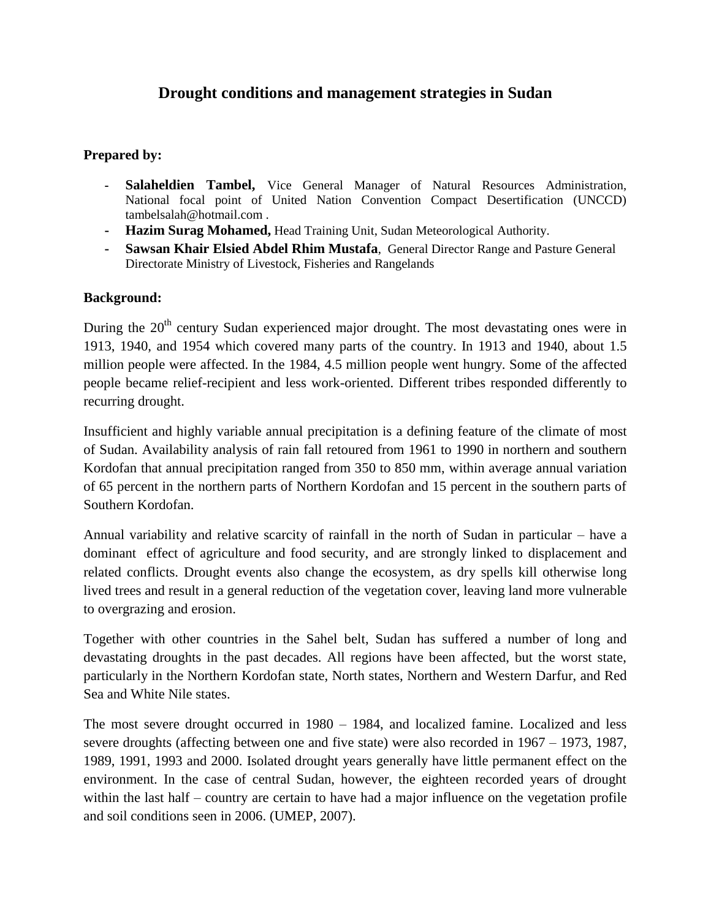# **Drought conditions and management strategies in Sudan**

## **Prepared by:**

- **- Salaheldien Tambel,** Vice General Manager of Natural Resources Administration, National focal point of United Nation Convention Compact Desertification (UNCCD) [tambelsalah@hotmail.com](mailto:tambelsalah@hotmail.com) .
- **- Hazim Surag Mohamed,** Head Training Unit, Sudan Meteorological Authority.
- **- Sawsan Khair Elsied Abdel Rhim Mustafa**, General Director Range and Pasture General Directorate Ministry of Livestock, Fisheries and Rangelands

## **Background:**

During the 20<sup>th</sup> century Sudan experienced major drought. The most devastating ones were in 1913, 1940, and 1954 which covered many parts of the country. In 1913 and 1940, about 1.5 million people were affected. In the 1984, 4.5 million people went hungry. Some of the affected people became relief-recipient and less work-oriented. Different tribes responded differently to recurring drought.

Insufficient and highly variable annual precipitation is a defining feature of the climate of most of Sudan. Availability analysis of rain fall retoured from 1961 to 1990 in northern and southern Kordofan that annual precipitation ranged from 350 to 850 mm, within average annual variation of 65 percent in the northern parts of Northern Kordofan and 15 percent in the southern parts of Southern Kordofan.

Annual variability and relative scarcity of rainfall in the north of Sudan in particular – have a dominant effect of agriculture and food security, and are strongly linked to displacement and related conflicts. Drought events also change the ecosystem, as dry spells kill otherwise long lived trees and result in a general reduction of the vegetation cover, leaving land more vulnerable to overgrazing and erosion.

Together with other countries in the Sahel belt, Sudan has suffered a number of long and devastating droughts in the past decades. All regions have been affected, but the worst state, particularly in the Northern Kordofan state, North states, Northern and Western Darfur, and Red Sea and White Nile states.

The most severe drought occurred in 1980 – 1984, and localized famine. Localized and less severe droughts (affecting between one and five state) were also recorded in 1967 – 1973, 1987, 1989, 1991, 1993 and 2000. Isolated drought years generally have little permanent effect on the environment. In the case of central Sudan, however, the eighteen recorded years of drought within the last half – country are certain to have had a major influence on the vegetation profile and soil conditions seen in 2006. (UMEP, 2007).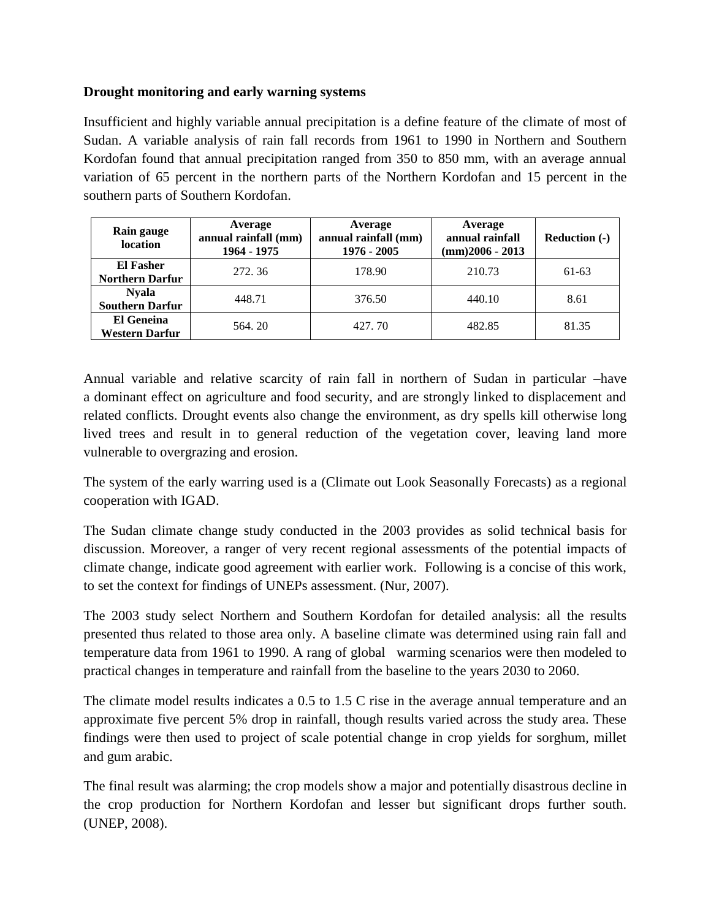# **Drought monitoring and early warning systems**

Insufficient and highly variable annual precipitation is a define feature of the climate of most of Sudan. A variable analysis of rain fall records from 1961 to 1990 in Northern and Southern Kordofan found that annual precipitation ranged from 350 to 850 mm, with an average annual variation of 65 percent in the northern parts of the Northern Kordofan and 15 percent in the southern parts of Southern Kordofan.

| Rain gauge<br>location                     | Average<br>annual rainfall (mm)<br>1964 - 1975 | Average<br>annual rainfall (mm)<br>1976 - 2005 | Average<br>annual rainfall<br>$(mm)$ 2006 - 2013 | Reduction (-) |
|--------------------------------------------|------------------------------------------------|------------------------------------------------|--------------------------------------------------|---------------|
| <b>El Fasher</b><br><b>Northern Darfur</b> | 272.36                                         | 178.90                                         | 210.73                                           | 61-63         |
| <b>Nyala</b><br><b>Southern Darfur</b>     | 448.71                                         | 376.50                                         | 440.10                                           | 8.61          |
| <b>El Geneina</b><br><b>Western Darfur</b> | 564.20                                         | 427.70                                         | 482.85                                           | 81.35         |

Annual variable and relative scarcity of rain fall in northern of Sudan in particular –have a dominant effect on agriculture and food security, and are strongly linked to displacement and related conflicts. Drought events also change the environment, as dry spells kill otherwise long lived trees and result in to general reduction of the vegetation cover, leaving land more vulnerable to overgrazing and erosion.

The system of the early warring used is a (Climate out Look Seasonally Forecasts) as a regional cooperation with IGAD.

The Sudan climate change study conducted in the 2003 provides as solid technical basis for discussion. Moreover, a ranger of very recent regional assessments of the potential impacts of climate change, indicate good agreement with earlier work. Following is a concise of this work, to set the context for findings of UNEPs assessment. (Nur, 2007).

The 2003 study select Northern and Southern Kordofan for detailed analysis: all the results presented thus related to those area only. A baseline climate was determined using rain fall and temperature data from 1961 to 1990. A rang of global warming scenarios were then modeled to practical changes in temperature and rainfall from the baseline to the years 2030 to 2060.

The climate model results indicates a 0.5 to 1.5 C rise in the average annual temperature and an approximate five percent 5% drop in rainfall, though results varied across the study area. These findings were then used to project of scale potential change in crop yields for sorghum, millet and gum arabic.

The final result was alarming; the crop models show a major and potentially disastrous decline in the crop production for Northern Kordofan and lesser but significant drops further south. (UNEP, 2008).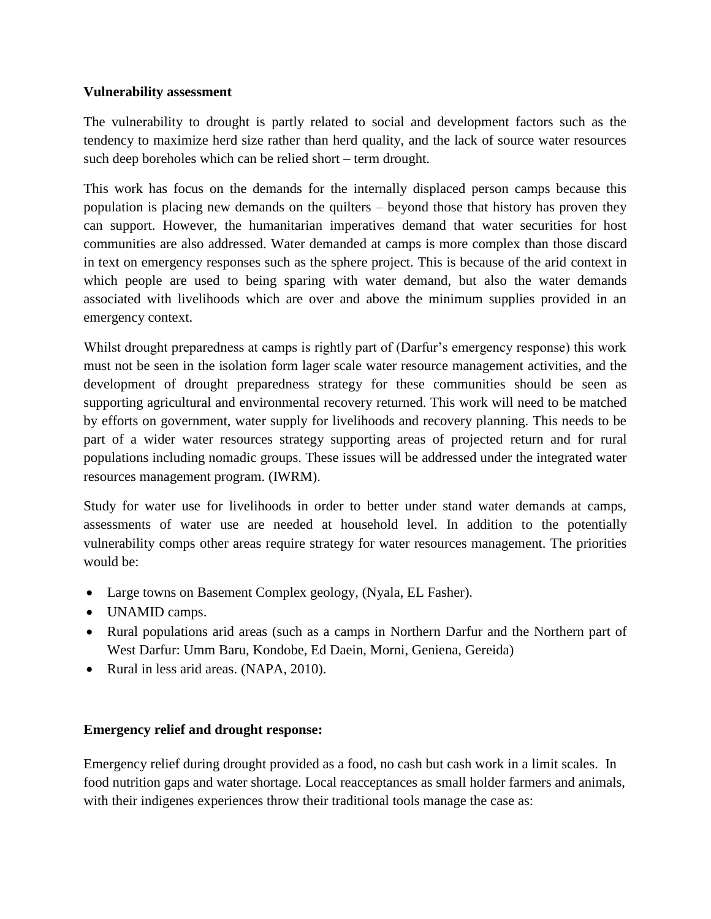## **Vulnerability assessment**

The vulnerability to drought is partly related to social and development factors such as the tendency to maximize herd size rather than herd quality, and the lack of source water resources such deep boreholes which can be relied short – term drought.

This work has focus on the demands for the internally displaced person camps because this population is placing new demands on the quilters – beyond those that history has proven they can support. However, the humanitarian imperatives demand that water securities for host communities are also addressed. Water demanded at camps is more complex than those discard in text on emergency responses such as the sphere project. This is because of the arid context in which people are used to being sparing with water demand, but also the water demands associated with livelihoods which are over and above the minimum supplies provided in an emergency context.

Whilst drought preparedness at camps is rightly part of (Darfur's emergency response) this work must not be seen in the isolation form lager scale water resource management activities, and the development of drought preparedness strategy for these communities should be seen as supporting agricultural and environmental recovery returned. This work will need to be matched by efforts on government, water supply for livelihoods and recovery planning. This needs to be part of a wider water resources strategy supporting areas of projected return and for rural populations including nomadic groups. These issues will be addressed under the integrated water resources management program. (IWRM).

Study for water use for livelihoods in order to better under stand water demands at camps, assessments of water use are needed at household level. In addition to the potentially vulnerability comps other areas require strategy for water resources management. The priorities would be:

- Large towns on Basement Complex geology, (Nyala, EL Fasher).
- UNAMID camps.
- Rural populations arid areas (such as a camps in Northern Darfur and the Northern part of West Darfur: Umm Baru, Kondobe, Ed Daein, Morni, Geniena, Gereida)
- Rural in less arid areas. (NAPA, 2010).

#### **Emergency relief and drought response:**

Emergency relief during drought provided as a food, no cash but cash work in a limit scales. In food nutrition gaps and water shortage. Local reacceptances as small holder farmers and animals, with their indigenes experiences throw their traditional tools manage the case as: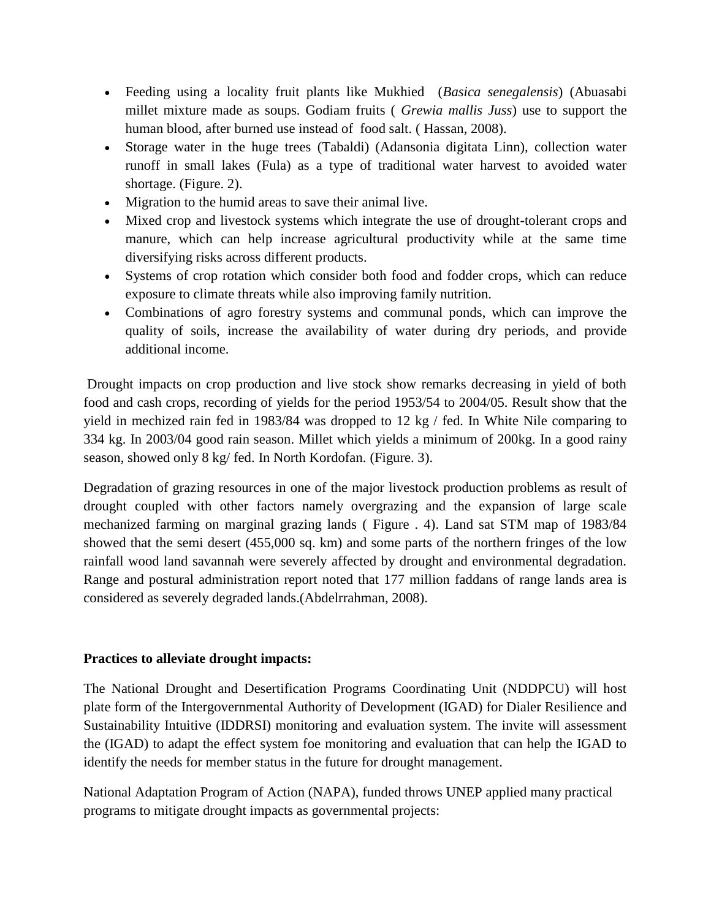- Feeding using a locality fruit plants like Mukhied (*Basica senegalensis*) (Abuasabi millet mixture made as soups. Godiam fruits ( *Grewia mallis Juss*) use to support the human blood, after burned use instead of food salt. ( Hassan, 2008).
- Storage water in the huge trees (Tabaldi) (Adansonia digitata Linn), collection water runoff in small lakes (Fula) as a type of traditional water harvest to avoided water shortage. (Figure. 2).
- Migration to the humid areas to save their animal live.
- Mixed crop and livestock systems which integrate the use of drought-tolerant crops and manure, which can help increase agricultural productivity while at the same time diversifying risks across different products.
- Systems of crop rotation which consider both food and fodder crops, which can reduce exposure to climate threats while also improving family nutrition.
- Combinations of agro forestry systems and communal ponds, which can improve the quality of soils, increase the availability of water during dry periods, and provide additional income.

Drought impacts on crop production and live stock show remarks decreasing in yield of both food and cash crops, recording of yields for the period 1953/54 to 2004/05. Result show that the yield in mechized rain fed in 1983/84 was dropped to 12 kg / fed. In White Nile comparing to 334 kg. In 2003/04 good rain season. Millet which yields a minimum of 200kg. In a good rainy season, showed only 8 kg/ fed. In North Kordofan. (Figure. 3).

Degradation of grazing resources in one of the major livestock production problems as result of drought coupled with other factors namely overgrazing and the expansion of large scale mechanized farming on marginal grazing lands ( Figure . 4). Land sat STM map of 1983/84 showed that the semi desert (455,000 sq. km) and some parts of the northern fringes of the low rainfall wood land savannah were severely affected by drought and environmental degradation. Range and postural administration report noted that 177 million faddans of range lands area is considered as severely degraded lands.(Abdelrrahman, 2008).

# **Practices to alleviate drought impacts:**

The National Drought and Desertification Programs Coordinating Unit (NDDPCU) will host plate form of the Intergovernmental Authority of Development (IGAD) for Dialer Resilience and Sustainability Intuitive (IDDRSI) monitoring and evaluation system. The invite will assessment the (IGAD) to adapt the effect system foe monitoring and evaluation that can help the IGAD to identify the needs for member status in the future for drought management.

National Adaptation Program of Action (NAPA), funded throws UNEP applied many practical programs to mitigate drought impacts as governmental projects: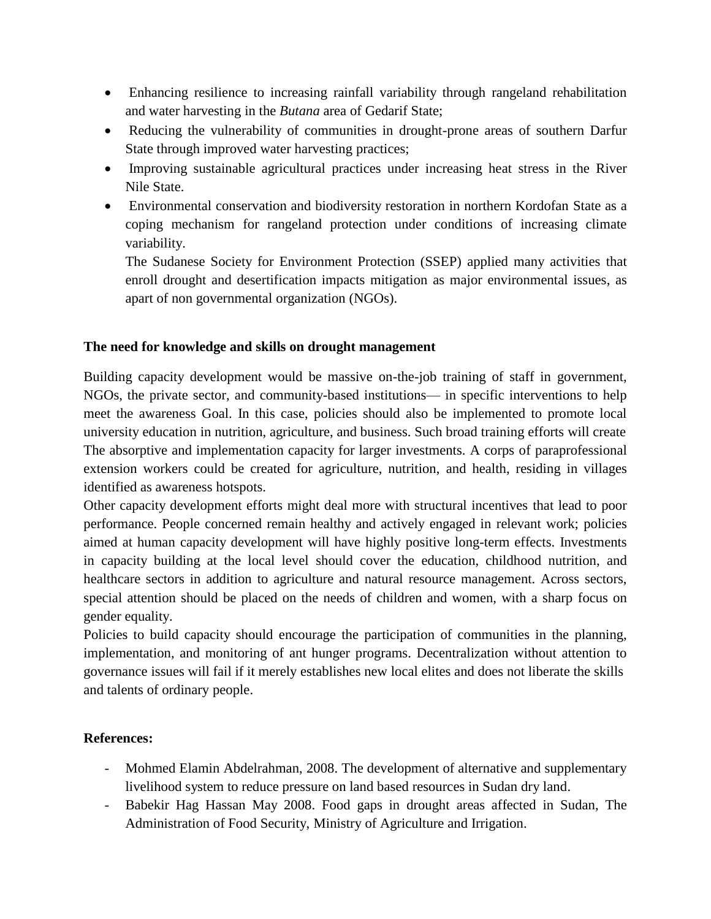- Enhancing resilience to increasing rainfall variability through rangeland rehabilitation and water harvesting in the *Butana* area of Gedarif State;
- Reducing the vulnerability of communities in drought-prone areas of southern Darfur State through improved water harvesting practices;
- Improving sustainable agricultural practices under increasing heat stress in the River Nile State.
- Environmental conservation and biodiversity restoration in northern Kordofan State as a coping mechanism for rangeland protection under conditions of increasing climate variability.

The Sudanese Society for Environment Protection (SSEP) applied many activities that enroll drought and desertification impacts mitigation as major environmental issues, as apart of non governmental organization (NGOs).

# **The need for knowledge and skills on drought management**

Building capacity development would be massive on-the-job training of staff in government, NGOs, the private sector, and community-based institutions— in specific interventions to help meet the awareness Goal. In this case, policies should also be implemented to promote local university education in nutrition, agriculture, and business. Such broad training efforts will create The absorptive and implementation capacity for larger investments. A corps of paraprofessional extension workers could be created for agriculture, nutrition, and health, residing in villages identified as awareness hotspots.

Other capacity development efforts might deal more with structural incentives that lead to poor performance. People concerned remain healthy and actively engaged in relevant work; policies aimed at human capacity development will have highly positive long-term effects. Investments in capacity building at the local level should cover the education, childhood nutrition, and healthcare sectors in addition to agriculture and natural resource management. Across sectors, special attention should be placed on the needs of children and women, with a sharp focus on gender equality.

Policies to build capacity should encourage the participation of communities in the planning, implementation, and monitoring of ant hunger programs. Decentralization without attention to governance issues will fail if it merely establishes new local elites and does not liberate the skills and talents of ordinary people.

# **References:**

- Mohmed Elamin Abdelrahman, 2008. The development of alternative and supplementary livelihood system to reduce pressure on land based resources in Sudan dry land.
- Babekir Hag Hassan May 2008. Food gaps in drought areas affected in Sudan, The Administration of Food Security, Ministry of Agriculture and Irrigation.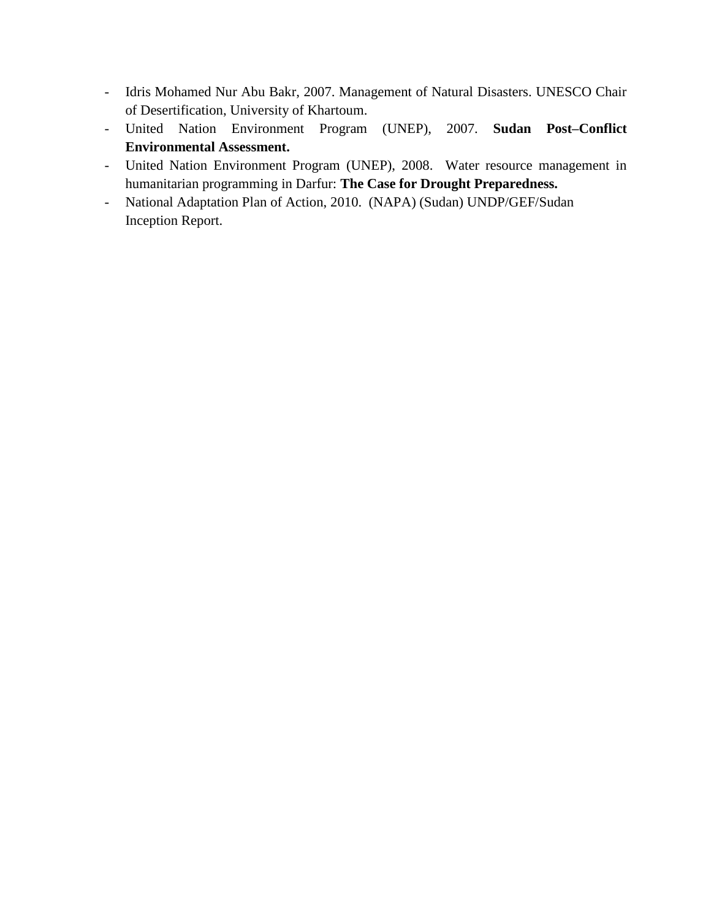- Idris Mohamed Nur Abu Bakr, 2007. Management of Natural Disasters. UNESCO Chair of Desertification, University of Khartoum.
- United Nation Environment Program (UNEP), 2007. **Sudan Post–Conflict Environmental Assessment.**
- United Nation Environment Program (UNEP), 2008. Water resource management in humanitarian programming in Darfur: **The Case for Drought Preparedness.**
- National Adaptation Plan of Action, 2010. (NAPA) (Sudan) UNDP/GEF/Sudan Inception Report.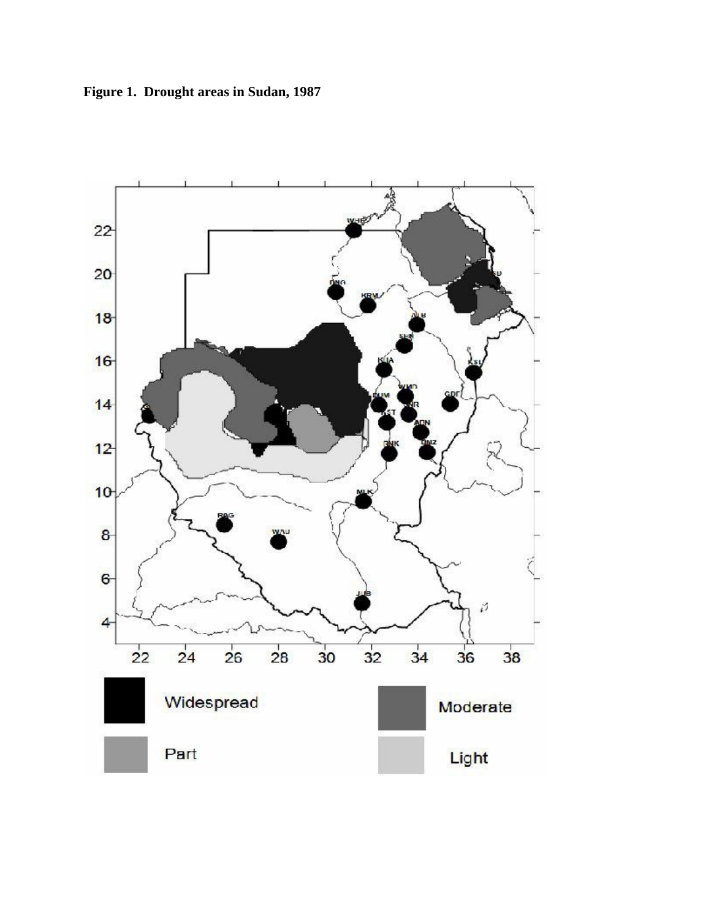**Figure 1. Drought areas in Sudan, 1987**

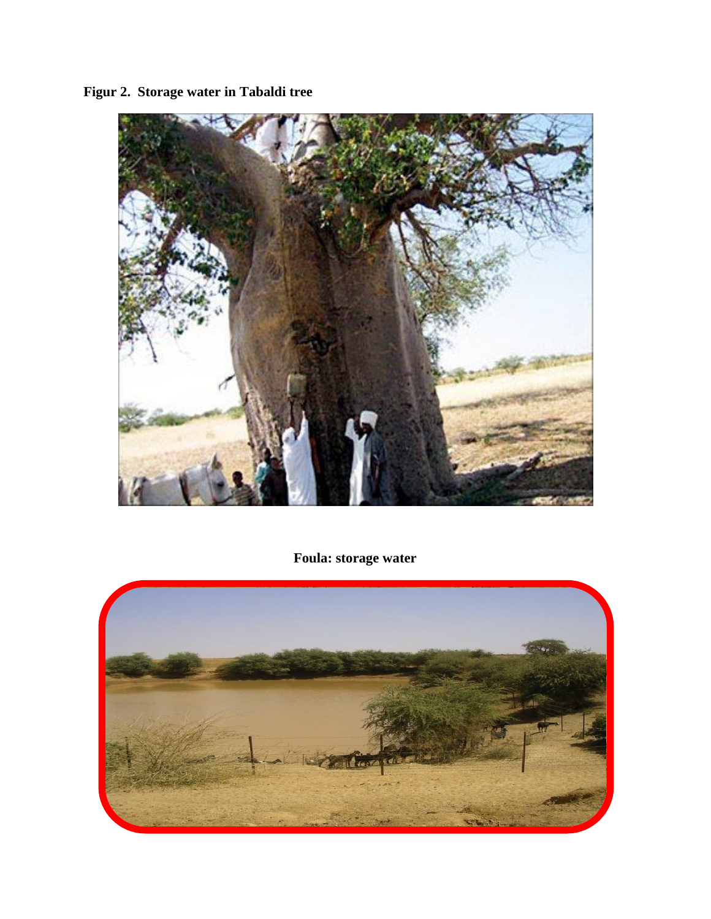**Figur 2. Storage water in Tabaldi tree**



**Foula: storage water**

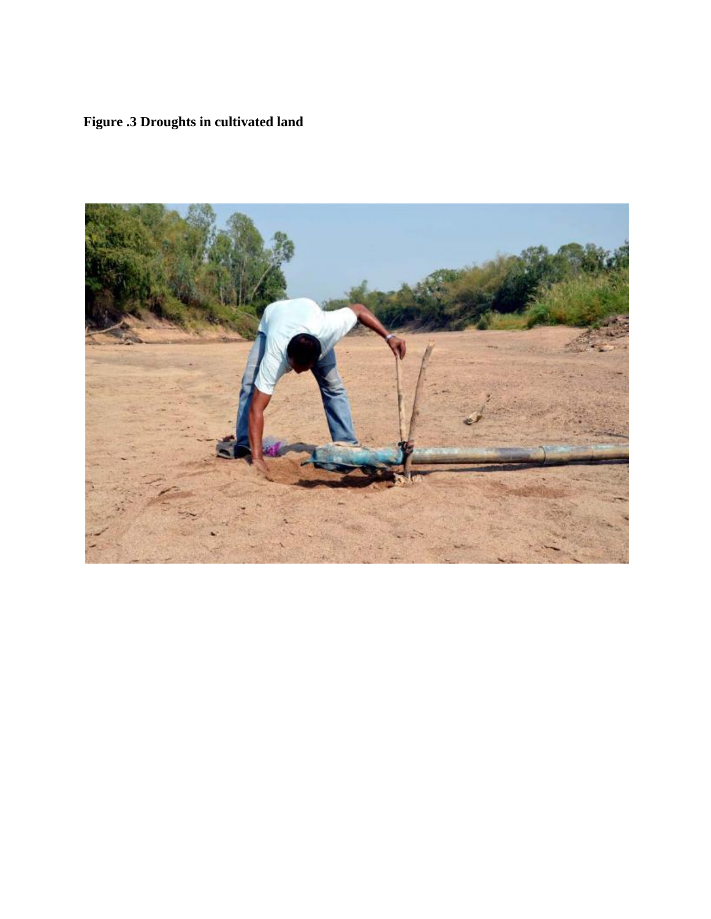# **Figure .3 Droughts in cultivated land**